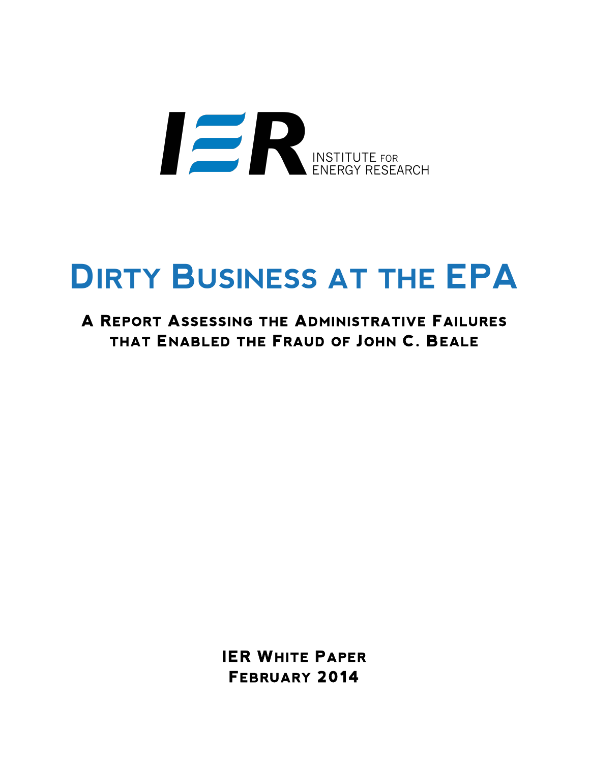

# **DIRTY BUSINESS AT THE EPA**

# **A REPORT ASSESSING THE ADMINISTRATIVE FAILURES THAT ENABLED THE FRAUD OF JOHN C. BEALE**

**IER WHITE PAPER FEBRUARY 2014**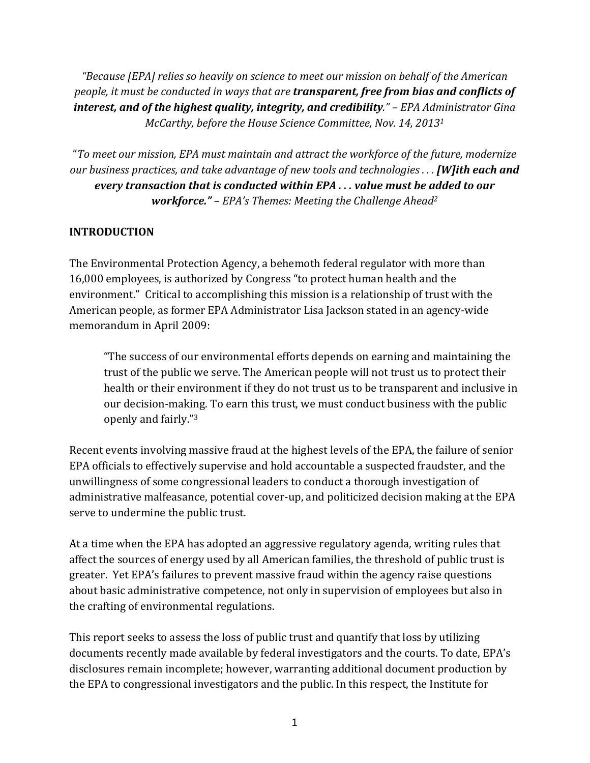"Because [EPA] relies so heavily on science to meet our mission on behalf of the American *people, it must be conducted in ways that are transparent, free from bias and conflicts of interest, and of the highest quality, integrity, and credibility." – EPA Administrator Gina McCarthy, before the House Science Committee, Nov.* 14, 2013<sup>1</sup>

"To meet our mission, EPA must maintain and attract the workforce of the future, modernize *our business practices, and take advantage of new tools and technologies ...* **[W]ith each and** *every transaction that is conducted within EPA ... value must be added to our workforce."* – *EPA's Themes: Meeting the Challenge Ahead<sup>2</sup>* 

#### **INTRODUCTION**

The Environmental Protection Agency, a behemoth federal regulator with more than 16,000 employees, is authorized by Congress "to protect human health and the environment." Critical to accomplishing this mission is a relationship of trust with the American people, as former EPA Administrator Lisa Jackson stated in an agency-wide memorandum in April 2009:

"The success of our environmental efforts depends on earning and maintaining the trust of the public we serve. The American people will not trust us to protect their health or their environment if they do not trust us to be transparent and inclusive in our decision-making. To earn this trust, we must conduct business with the public openly and fairly."<sup>3</sup>

Recent events involving massive fraud at the highest levels of the EPA, the failure of senior EPA officials to effectively supervise and hold accountable a suspected fraudster, and the unwillingness of some congressional leaders to conduct a thorough investigation of administrative malfeasance, potential cover-up, and politicized decision making at the EPA serve to undermine the public trust.

At a time when the EPA has adopted an aggressive regulatory agenda, writing rules that affect the sources of energy used by all American families, the threshold of public trust is greater. Yet EPA's failures to prevent massive fraud within the agency raise questions about basic administrative competence, not only in supervision of employees but also in the crafting of environmental regulations.

This report seeks to assess the loss of public trust and quantify that loss by utilizing documents recently made available by federal investigators and the courts. To date, EPA's disclosures remain incomplete; however, warranting additional document production by the EPA to congressional investigators and the public. In this respect, the Institute for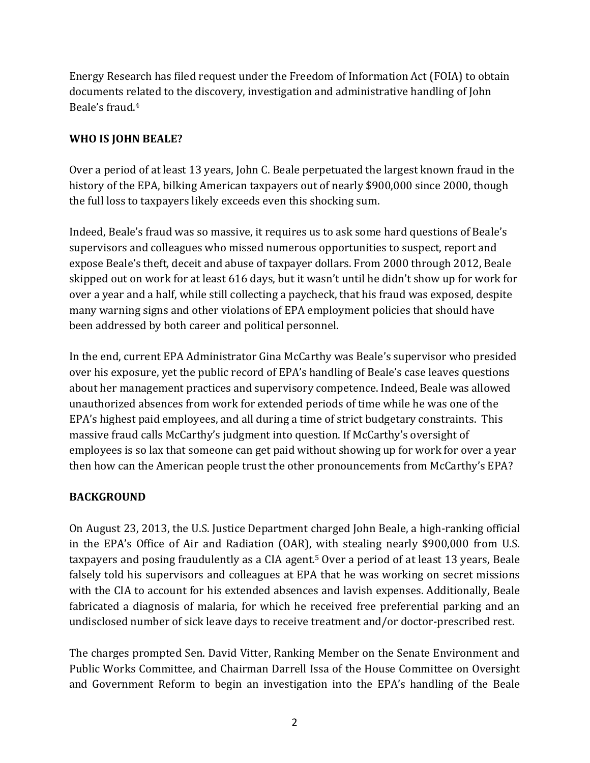Energy Research has filed request under the Freedom of Information Act (FOIA) to obtain documents related to the discovery, investigation and administrative handling of John Beale's fraud.<sup>4</sup>

## WHO IS JOHN BEALE?

Over a period of at least 13 years, John C. Beale perpetuated the largest known fraud in the history of the EPA, bilking American taxpayers out of nearly \$900,000 since 2000, though the full loss to taxpayers likely exceeds even this shocking sum.

Indeed, Beale's fraud was so massive, it requires us to ask some hard questions of Beale's supervisors and colleagues who missed numerous opportunities to suspect, report and expose Beale's theft, deceit and abuse of taxpayer dollars. From 2000 through 2012, Beale skipped out on work for at least 616 days, but it wasn't until he didn't show up for work for over a year and a half, while still collecting a paycheck, that his fraud was exposed, despite many warning signs and other violations of EPA employment policies that should have been addressed by both career and political personnel.

In the end, current EPA Administrator Gina McCarthy was Beale's supervisor who presided over his exposure, yet the public record of EPA's handling of Beale's case leaves questions about her management practices and supervisory competence. Indeed, Beale was allowed unauthorized absences from work for extended periods of time while he was one of the EPA's highest paid employees, and all during a time of strict budgetary constraints. This massive fraud calls McCarthy's judgment into question. If McCarthy's oversight of employees is so lax that someone can get paid without showing up for work for over a year then how can the American people trust the other pronouncements from McCarthy's EPA?

#### **BACKGROUND**

On August 23, 2013, the U.S. Justice Department charged John Beale, a high-ranking official in the EPA's Office of Air and Radiation (OAR), with stealing nearly \$900,000 from U.S. taxpayers and posing fraudulently as a CIA agent.<sup>5</sup> Over a period of at least 13 years, Beale falsely told his supervisors and colleagues at EPA that he was working on secret missions with the CIA to account for his extended absences and lavish expenses. Additionally, Beale fabricated a diagnosis of malaria, for which he received free preferential parking and an undisclosed number of sick leave days to receive treatment and/or doctor-prescribed rest.

The charges prompted Sen. David Vitter, Ranking Member on the Senate Environment and Public Works Committee, and Chairman Darrell Issa of the House Committee on Oversight and Government Reform to begin an investigation into the EPA's handling of the Beale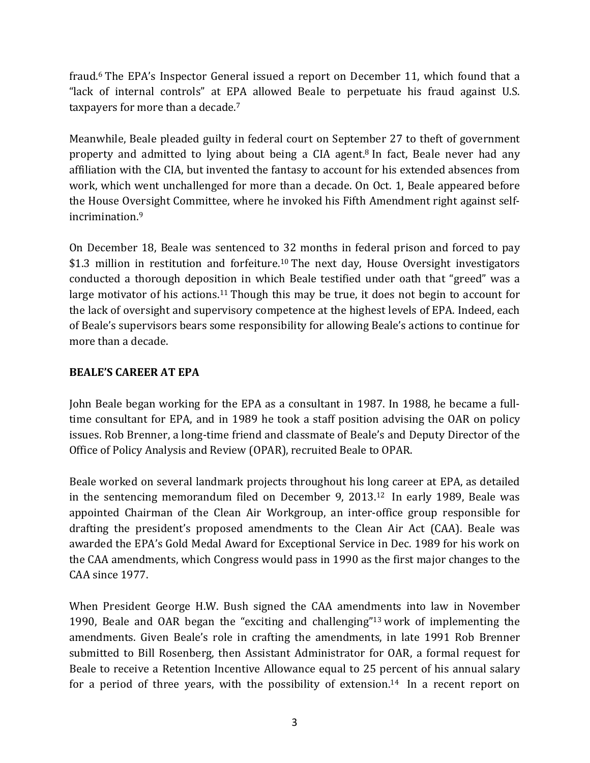fraud.<sup>6</sup> The EPA's Inspector General issued a report on December 11, which found that a "lack of internal controls" at EPA allowed Beale to perpetuate his fraud against U.S. taxpayers for more than a decade.<sup>7</sup>

Meanwhile, Beale pleaded guilty in federal court on September 27 to theft of government property and admitted to lying about being a CIA agent.<sup>8</sup> In fact, Beale never had any affiliation with the CIA, but invented the fantasy to account for his extended absences from work, which went unchallenged for more than a decade. On Oct. 1, Beale appeared before the House Oversight Committee, where he invoked his Fifth Amendment right against selfincrimination. 9

On December 18, Beale was sentenced to 32 months in federal prison and forced to pay \$1.3 million in restitution and forfeiture.<sup>10</sup> The next day, House Oversight investigators conducted a thorough deposition in which Beale testified under oath that "greed" was a large motivator of his actions.<sup>11</sup> Though this may be true, it does not begin to account for the lack of oversight and supervisory competence at the highest levels of EPA. Indeed, each of Beale's supervisors bears some responsibility for allowing Beale's actions to continue for more than a decade.

#### **BEALE'S CAREER AT EPA**

John Beale began working for the EPA as a consultant in 1987. In 1988, he became a fulltime consultant for EPA, and in 1989 he took a staff position advising the OAR on policy issues. Rob Brenner, a long-time friend and classmate of Beale's and Deputy Director of the Office of Policy Analysis and Review (OPAR), recruited Beale to OPAR.

Beale worked on several landmark projects throughout his long career at EPA, as detailed in the sentencing memorandum filed on December 9, 2013.<sup>12</sup> In early 1989, Beale was appointed Chairman of the Clean Air Workgroup, an inter-office group responsible for drafting the president's proposed amendments to the Clean Air Act (CAA). Beale was awarded the EPA's Gold Medal Award for Exceptional Service in Dec. 1989 for his work on the CAA amendments, which Congress would pass in 1990 as the first major changes to the CAA since 1977.

When President George H.W. Bush signed the CAA amendments into law in November 1990, Beale and OAR began the "exciting and challenging"<sup>13</sup> work of implementing the amendments. Given Beale's role in crafting the amendments, in late 1991 Rob Brenner submitted to Bill Rosenberg, then Assistant Administrator for OAR, a formal request for Beale to receive a Retention Incentive Allowance equal to 25 percent of his annual salary for a period of three years, with the possibility of extension.<sup>14</sup> In a recent report on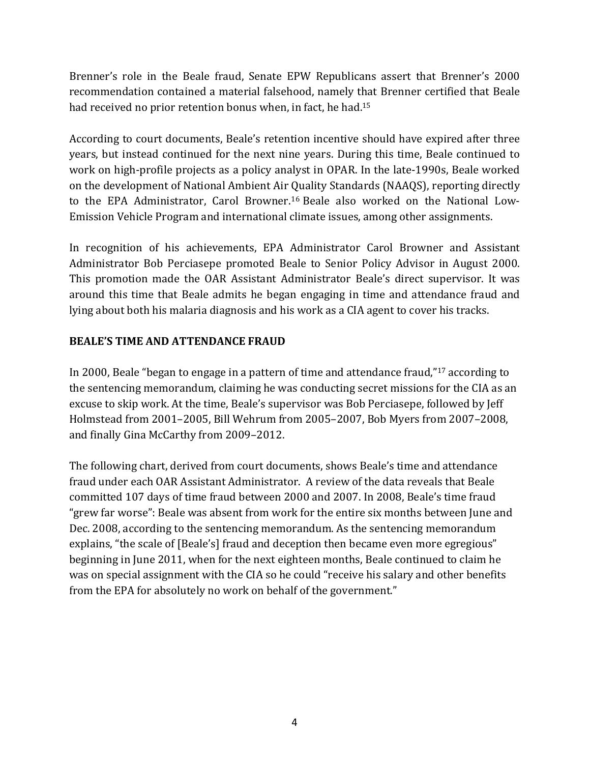Brenner's role in the Beale fraud, Senate EPW Republicans assert that Brenner's 2000 recommendation contained a material falsehood, namely that Brenner certified that Beale had received no prior retention bonus when, in fact, he had.<sup>15</sup>

According to court documents, Beale's retention incentive should have expired after three years, but instead continued for the next nine years. During this time, Beale continued to work on high-profile projects as a policy analyst in OPAR. In the late-1990s, Beale worked on the development of National Ambient Air Quality Standards (NAAQS), reporting directly to the EPA Administrator, Carol Browner.<sup>16</sup> Beale also worked on the National Low-Emission Vehicle Program and international climate issues, among other assignments.

In recognition of his achievements, EPA Administrator Carol Browner and Assistant Administrator Bob Perciasepe promoted Beale to Senior Policy Advisor in August 2000. This promotion made the OAR Assistant Administrator Beale's direct supervisor. It was around this time that Beale admits he began engaging in time and attendance fraud and lying about both his malaria diagnosis and his work as a CIA agent to cover his tracks.

#### **BEALE'S TIME AND ATTENDANCE FRAUD**

In 2000, Beale "began to engage in a pattern of time and attendance fraud," $17$  according to the sentencing memorandum, claiming he was conducting secret missions for the CIA as an excuse to skip work. At the time, Beale's supervisor was Bob Perciasepe, followed by Jeff Holmstead from 2001-2005, Bill Wehrum from 2005-2007, Bob Myers from 2007-2008, and finally Gina McCarthy from 2009-2012.

The following chart, derived from court documents, shows Beale's time and attendance fraud under each OAR Assistant Administrator. A review of the data reveals that Beale committed 107 days of time fraud between 2000 and 2007. In 2008, Beale's time fraud "grew far worse": Beale was absent from work for the entire six months between June and Dec. 2008, according to the sentencing memorandum. As the sentencing memorandum explains, "the scale of [Beale's] fraud and deception then became even more egregious" beginning in June 2011, when for the next eighteen months, Beale continued to claim he was on special assignment with the CIA so he could "receive his salary and other benefits from the EPA for absolutely no work on behalf of the government."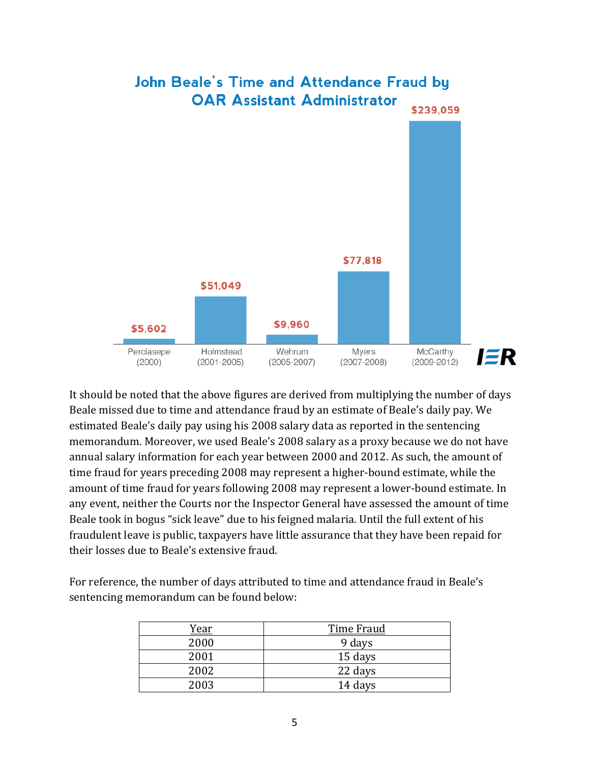

It should be noted that the above figures are derived from multiplying the number of days Beale missed due to time and attendance fraud by an estimate of Beale's daily pay. We estimated Beale's daily pay using his 2008 salary data as reported in the sentencing memorandum. Moreover, we used Beale's 2008 salary as a proxy because we do not have annual salary information for each year between 2000 and 2012. As such, the amount of time fraud for years preceding 2008 may represent a higher-bound estimate, while the amount of time fraud for years following 2008 may represent a lower-bound estimate. In any event, neither the Courts nor the Inspector General have assessed the amount of time Beale took in bogus "sick leave" due to his feigned malaria. Until the full extent of his fraudulent leave is public, taxpayers have little assurance that they have been repaid for their losses due to Beale's extensive fraud.

For reference, the number of days attributed to time and attendance fraud in Beale's sentencing memorandum can be found below:

| Year | Time Fraud |
|------|------------|
| 2000 | 9 days     |
| 2001 | 15 days    |
| 2002 | 22 days    |
| 2003 | 14 days    |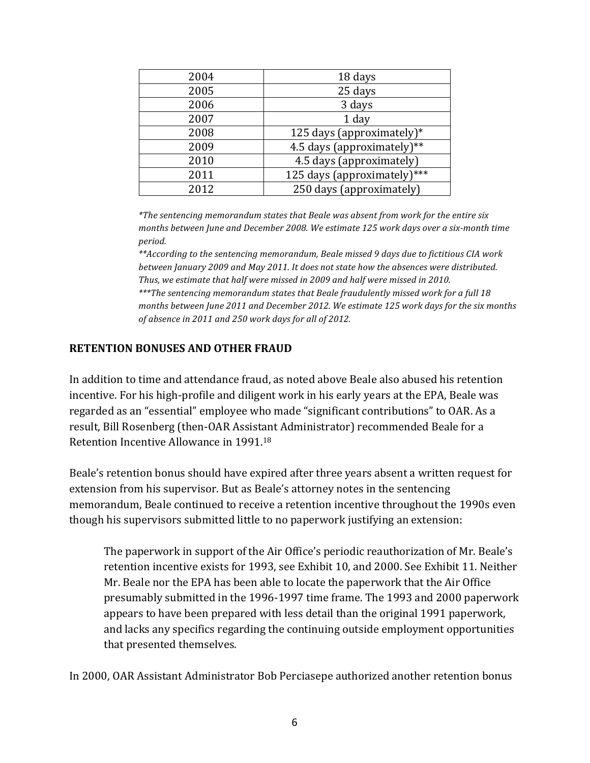| 2004 | 18 days                     |
|------|-----------------------------|
| 2005 | 25 days                     |
| 2006 | 3 days                      |
| 2007 | 1 day                       |
| 2008 | 125 days (approximately)*   |
| 2009 | 4.5 days (approximately)**  |
| 2010 | 4.5 days (approximately)    |
| 2011 | 125 days (approximately)*** |
| 2012 | 250 days (approximately)    |

*\*The sentencing memorandum states that Beale was absent from work for the entire six* months between June and December 2008. We estimate 125 work days over a six-month time *period.*

\*\*According to the sentencing memorandum, Beale missed 9 days due to fictitious CIA work *between January* 2009 and May 2011. It does not state how the absences were distributed. Thus, we estimate that half were missed in 2009 and half were missed in 2010. \*\*\*The sentencing memorandum states that Beale fraudulently missed work for a full 18 *months between June 2011 and December 2012. We estimate 125 work days for the six months* of absence in 2011 and 250 work days for all of 2012.

#### **RETENTION BONUSES AND OTHER FRAUD**

In addition to time and attendance fraud, as noted above Beale also abused his retention incentive. For his high-profile and diligent work in his early years at the EPA, Beale was regarded as an "essential" employee who made "significant contributions" to OAR. As a result, Bill Rosenberg (then-OAR Assistant Administrator) recommended Beale for a Retention Incentive Allowance in 1991.<sup>18</sup>

Beale's retention bonus should have expired after three years absent a written request for extension from his supervisor. But as Beale's attorney notes in the sentencing memorandum, Beale continued to receive a retention incentive throughout the 1990s even though his supervisors submitted little to no paperwork justifying an extension:

The paperwork in support of the Air Office's periodic reauthorization of Mr. Beale's retention incentive exists for 1993, see Exhibit 10, and 2000. See Exhibit 11. Neither Mr. Beale nor the EPA has been able to locate the paperwork that the Air Office presumably submitted in the 1996-1997 time frame. The 1993 and 2000 paperwork appears to have been prepared with less detail than the original 1991 paperwork, and lacks any specifics regarding the continuing outside employment opportunities that presented themselves.

In 2000, OAR Assistant Administrator Bob Perciasepe authorized another retention bonus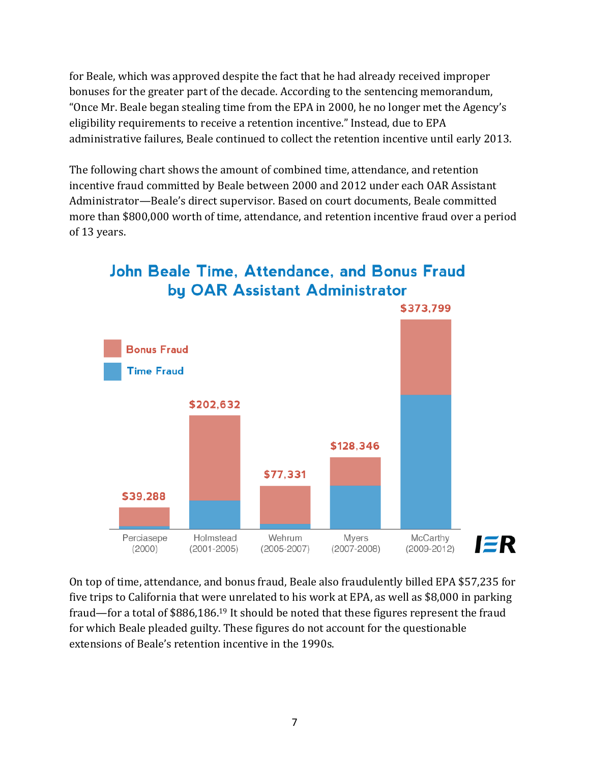for Beale, which was approved despite the fact that he had already received improper bonuses for the greater part of the decade. According to the sentencing memorandum, "Once Mr. Beale began stealing time from the EPA in 2000, he no longer met the Agency's eligibility requirements to receive a retention incentive." Instead, due to EPA administrative failures, Beale continued to collect the retention incentive until early 2013.

The following chart shows the amount of combined time, attendance, and retention incentive fraud committed by Beale between 2000 and 2012 under each OAR Assistant Administrator—Beale's direct supervisor. Based on court documents, Beale committed more than \$800,000 worth of time, attendance, and retention incentive fraud over a period of 13 years.



**John Beale Time, Attendance, and Bonus Fraud** by OAR Assistant Administrator

On top of time, attendance, and bonus fraud, Beale also fraudulently billed EPA \$57,235 for five trips to California that were unrelated to his work at EPA, as well as \$8,000 in parking fraud—for a total of \$886,186.<sup>19</sup> It should be noted that these figures represent the fraud for which Beale pleaded guilty. These figures do not account for the questionable extensions of Beale's retention incentive in the 1990s.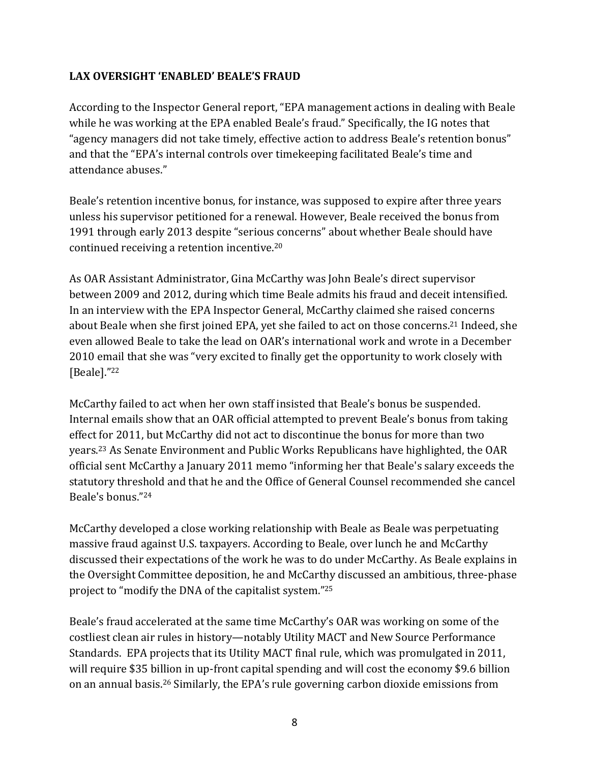#### LAX OVERSIGHT 'ENABLED' BEALE'S FRAUD

According to the Inspector General report, "EPA management actions in dealing with Beale while he was working at the EPA enabled Beale's fraud." Specifically, the IG notes that "agency managers did not take timely, effective action to address Beale's retention bonus" and that the "EPA's internal controls over timekeeping facilitated Beale's time and attendance abuses."

Beale's retention incentive bonus, for instance, was supposed to expire after three years unless his supervisor petitioned for a renewal. However, Beale received the bonus from 1991 through early 2013 despite "serious concerns" about whether Beale should have continued receiving a retention incentive. $20$ 

As OAR Assistant Administrator, Gina McCarthy was John Beale's direct supervisor between 2009 and 2012, during which time Beale admits his fraud and deceit intensified. In an interview with the EPA Inspector General, McCarthy claimed she raised concerns about Beale when she first joined EPA, yet she failed to act on those concerns.<sup>21</sup> Indeed, she even allowed Beale to take the lead on OAR's international work and wrote in a December 2010 email that she was "very excited to finally get the opportunity to work closely with [Beale]."22

McCarthy failed to act when her own staff insisted that Beale's bonus be suspended. Internal emails show that an OAR official attempted to prevent Beale's bonus from taking effect for 2011, but McCarthy did not act to discontinue the bonus for more than two years.<sup>23</sup> As Senate Environment and Public Works Republicans have highlighted, the OAR official sent McCarthy a January 2011 memo "informing her that Beale's salary exceeds the statutory threshold and that he and the Office of General Counsel recommended she cancel Beale's honus."<sup>24</sup>

McCarthy developed a close working relationship with Beale as Beale was perpetuating massive fraud against U.S. taxpayers. According to Beale, over lunch he and McCarthy discussed their expectations of the work he was to do under McCarthy. As Beale explains in the Oversight Committee deposition, he and McCarthy discussed an ambitious, three-phase project to "modify the DNA of the capitalist system."<sup>25</sup>

Beale's fraud accelerated at the same time McCarthy's OAR was working on some of the costliest clean air rules in history—notably Utility MACT and New Source Performance Standards. EPA projects that its Utility MACT final rule, which was promulgated in 2011, will require \$35 billion in up-front capital spending and will cost the economy \$9.6 billion on an annual basis.<sup>26</sup> Similarly, the EPA's rule governing carbon dioxide emissions from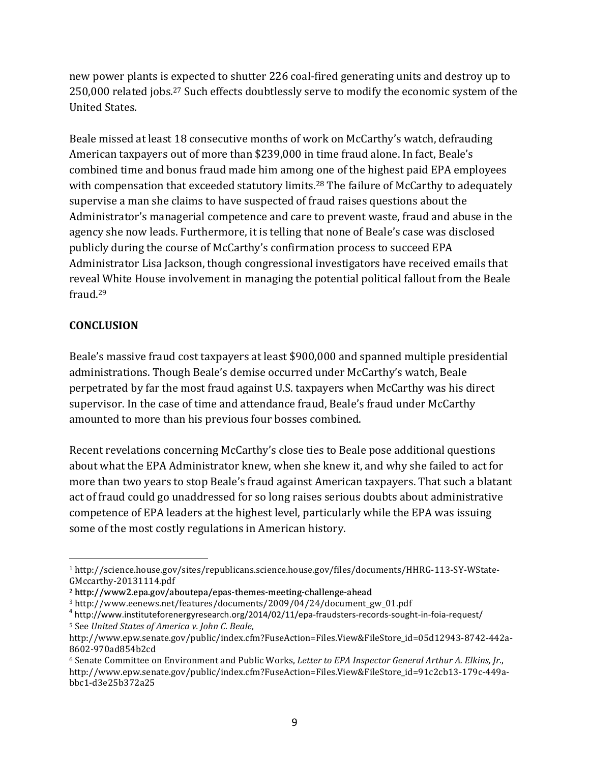new power plants is expected to shutter 226 coal-fired generating units and destroy up to 250,000 related jobs.<sup>27</sup> Such effects doubtlessly serve to modify the economic system of the United States.

Beale missed at least 18 consecutive months of work on McCarthy's watch, defrauding American taxpayers out of more than \$239,000 in time fraud alone. In fact, Beale's combined time and bonus fraud made him among one of the highest paid EPA employees with compensation that exceeded statutory limits.<sup>28</sup> The failure of McCarthy to adequately supervise a man she claims to have suspected of fraud raises questions about the Administrator's managerial competence and care to prevent waste, fraud and abuse in the agency she now leads. Furthermore, it is telling that none of Beale's case was disclosed publicly during the course of McCarthy's confirmation process to succeed EPA Administrator Lisa Jackson, though congressional investigators have received emails that reveal White House involvement in managing the potential political fallout from the Beale fraud.29

### **CONCLUSION**

<u> 1989 - Jan Samuel Barbara, margaret e</u>

Beale's massive fraud cost taxpayers at least \$900,000 and spanned multiple presidential administrations. Though Beale's demise occurred under McCarthy's watch, Beale perpetrated by far the most fraud against U.S. taxpayers when McCarthy was his direct supervisor. In the case of time and attendance fraud, Beale's fraud under McCarthy amounted to more than his previous four bosses combined.

Recent revelations concerning McCarthy's close ties to Beale pose additional questions about what the EPA Administrator knew, when she knew it, and why she failed to act for more than two years to stop Beale's fraud against American taxpayers. That such a blatant act of fraud could go unaddressed for so long raises serious doubts about administrative competence of EPA leaders at the highest level, particularly while the EPA was issuing some of the most costly regulations in American history.

<sup>1</sup> http://science.house.gov/sites/republicans.science.house.gov/files/documents/HHRG-113-SY-WState-GMccarthy-20131114.pdf

<sup>&</sup>lt;sup>2</sup> http://www2.epa.gov/aboutepa/epas-themes-meeting-challenge-ahead

<sup>3</sup> http://www.eenews.net/features/documents/2009/04/24/document\_gw\_01.pdf

<sup>4</sup> http://www.instituteforenergyresearch.org/2014/02/11/epa-fraudsters-records-sought-in-foia-request/ <sup>5</sup> See *United States of America v. John C. Beale*, 

http://www.epw.senate.gov/public/index.cfm?FuseAction=Files.View&FileStore\_id=05d12943-8742-442a-8602-970ad854b2cd

<sup>&</sup>lt;sup>6</sup> Senate Committee on Environment and Public Works, *Letter to EPA Inspector General Arthur A. Elkins, Jr.*, http://www.epw.senate.gov/public/index.cfm?FuseAction=Files.View&FileStore\_id=91c2cb13-179c-449abbc1-d3e25b372a25